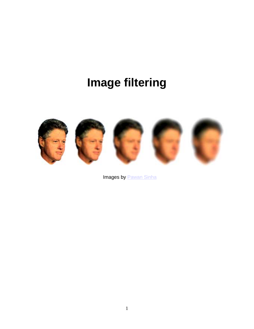# **Image filtering**



Images by **Pawan Sinha**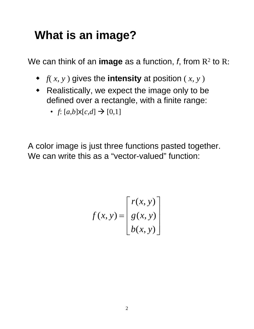# **What is an image?**

We can think of an **image** as a function,  $f$ , from  $R^2$  to R:

- $\bullet$   $f(x, y)$  gives the **intensity** at position  $(x, y)$
- Realistically, we expect the image only to be defined over a rectangle, with a finite range:
	- $f: [a,b] \times [c,d] \rightarrow [0,1]$

A color image is just three functions pasted together. We can write this as a "vector-valued" function:

$$
f(x, y) = \begin{bmatrix} r(x, y) \\ g(x, y) \\ b(x, y) \end{bmatrix}
$$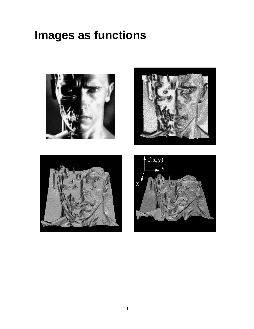#### **Images as functions**







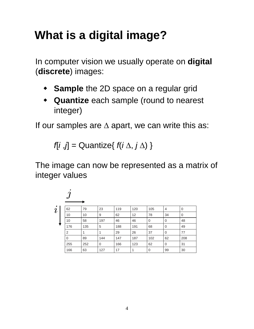# **What is a digital image?**

In computer vision we usually operate on **digital**  (**discrete**) images:

- **Sample** the 2D space on a regular grid
- **Quantize** each sample (round to nearest integer)

If our samples are ∆ apart, we can write this as:

*f*[*i* ,*j*] = Quantize{ *f*(*i* ∆, *j* ∆) }

The image can now be represented as a matrix of integer values

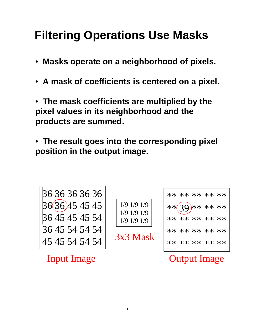# **Filtering Operations Use Masks**

- **Masks operate on a neighborhood of pixels.**
- **A mask of coefficients is centered on a pixel.**
- **The mask coefficients are multiplied by the pixel values in its neighborhood and the products are summed.**
- **The result goes into the corresponding pixel position in the output image.**

36 36 36 36 36 36 36 45 45 45 36 45 45 45 54 36 45 54 54 54 45 45 54 54 54

Input Image

1/9 1/9 1/9 1/9 1/9 1/9 1/9 1/9 1/9

3x3 Mask

|  | ** ** ** ** **               |  |
|--|------------------------------|--|
|  | ** $\widehat{(39)}$ ** ** ** |  |
|  | ** ** ** ** **               |  |
|  | ** ** ** ** **               |  |
|  | ** ** ** ** **               |  |

#### Output Image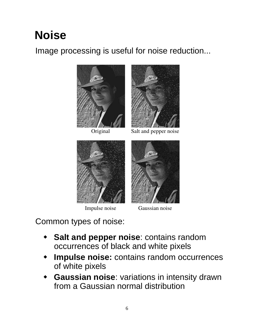# **Noise**

#### Image processing is useful for noise reduction...



Original



Salt and pepper noise



Impulse noise

Gaussian noise

Common types of noise:

- **Salt and pepper noise**: contains random occurrences of black and white pixels
- **Impulse noise:** contains random occurrences of white pixels
- **Gaussian noise**: variations in intensity drawn from a Gaussian normal distribution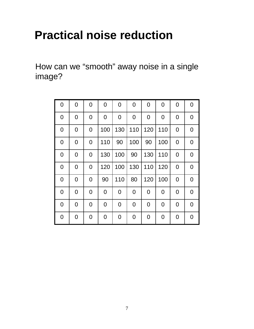## **Practical noise reduction**

How can we "smooth" away noise in a single image?

| 0              | $\mathbf 0$ | 0              | 0   | $\mathbf 0$ | $\mathbf 0$    | $\mathbf 0$    | 0   | 0              | 0              |
|----------------|-------------|----------------|-----|-------------|----------------|----------------|-----|----------------|----------------|
| 0              | 0           | $\overline{0}$ | 0   | $\mathbf 0$ | $\overline{0}$ | 0              | 0   | 0              | 0              |
| 0              | 0           | $\overline{0}$ | 100 | 130         | 110            | 120            | 110 | $\overline{0}$ | 0              |
| $\overline{0}$ | 0           | $\overline{0}$ | 110 | 90          | 100            | 90             | 100 | 0              | $\overline{0}$ |
| $\mathbf 0$    | 0           | 0              | 130 | 100         | 90             | 130            | 110 | 0              | 0              |
| $\mathbf 0$    | 0           | 0              | 120 | 100         | 130            | 110            | 120 | 0              | 0              |
| $\overline{0}$ | 0           | $\overline{0}$ | 90  | 110         | 80             | 120            | 100 | $\overline{0}$ | $\overline{0}$ |
| 0              | 0           | $\mathbf 0$    | 0   | $\mathbf 0$ | $\mathbf 0$    | $\overline{0}$ | 0   | 0              | $\mathbf 0$    |
| $\overline{0}$ | 0           | $\overline{0}$ | 0   | $\mathbf 0$ | $\overline{0}$ | $\overline{0}$ | 0   | 0              | $\overline{0}$ |
| 0              | 0           | $\overline{0}$ | 0   | 0           | 0              | 0              | 0   | $\overline{0}$ | 0              |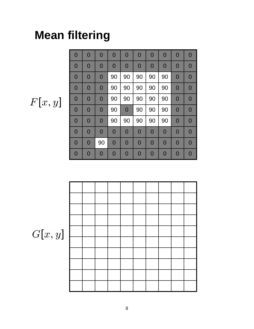# **Mean filtering**

$$
F[x,y]
$$

| $\overline{0}$ | $\overline{0}$ | $\overline{0}$ | $\overline{0}$ | $\overline{0}$ | $\mathbf 0$    | $\overline{0}$ | $\overline{0}$ | $\mathbf{0}$   | $\mathbf 0$    |
|----------------|----------------|----------------|----------------|----------------|----------------|----------------|----------------|----------------|----------------|
| $\mathbf 0$    | $\mathbf 0$    | $\overline{0}$ | $\mathbf 0$    | $\mathbf 0$    | $\mathbf 0$    | $\mathbf 0$    | $\mathbf 0$    | $\mathbf 0$    | 0              |
| $\mathbf 0$    | $\mathbf{0}$   | $\overline{0}$ | 90             | 90             | 90             | 90             | 90             | $\mathbf{0}$   | $\overline{0}$ |
| $\overline{0}$ | $\overline{0}$ | $\overline{0}$ | 90             | 90             | 90             | 90             | 90             | $\overline{0}$ | $\mathbf 0$    |
| $\overline{0}$ | $\overline{0}$ | $\overline{0}$ | 90             | 90             | 90             | 90             | 90             | $\mathbf 0$    | 0              |
| $\mathbf 0$    | $\mathbf 0$    | $\overline{0}$ | 90             | $\mathbf{0}$   | 90             | 90             | 90             | $\mathbf{0}$   | $\mathbf{0}$   |
| $\overline{0}$ | $\overline{0}$ | $\overline{0}$ | 90             | 90             | 90             | 90             | 90             | $\overline{0}$ | $\mathbf 0$    |
| $\overline{0}$ | $\mathbf 0$    | $\overline{0}$ | $\overline{0}$ | $\mathbf 0$    | $\mathbf 0$    | $\mathbf 0$    | $\mathbf 0$    | $\mathbf{0}$   | 0              |
| $\overline{0}$ | $\overline{0}$ | 90             | $\overline{0}$ | $\mathbf 0$    | $\mathbf{0}$   | $\mathbf 0$    | $\overline{0}$ | $\mathbf{0}$   | $\mathbf{0}$   |
| $\overline{0}$ | $\mathbf 0$    | $\Omega$       | $\overline{0}$ | $\overline{0}$ | $\overline{0}$ | $\overline{0}$ | $\overline{0}$ | $\overline{0}$ | $\Omega$       |



 $G[x, y]$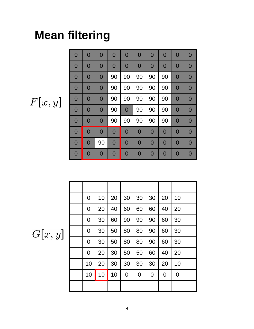# **Mean filtering**

Г

| $\overline{0}$ | $\overline{0}$ | $\overline{0}$ | $\overline{0}$ | $\overline{0}$ | $\mathbf 0$    | $\overline{0}$ | $\overline{0}$ | $\overline{0}$ | $\overline{0}$ |
|----------------|----------------|----------------|----------------|----------------|----------------|----------------|----------------|----------------|----------------|
| $\overline{0}$ | $\mathbf{0}$   | $\overline{0}$ | $\overline{0}$ | $\mathbf 0$    | $\mathbf 0$    | $\overline{0}$ | $\mathbf 0$    | $\mathbf 0$    | $\mathbf 0$    |
| $\overline{0}$ | $\mathbf{0}$   | $\overline{0}$ | 90             | 90             | 90             | 90             | 90             | $\mathbf{0}$   | $\mathbf{O}$   |
| $\overline{0}$ | $\mathbf 0$    | $\overline{0}$ | 90             | 90             | 90             | 90             | 90             | $\mathbf 0$    | $\mathbf 0$    |
| $\overline{0}$ | $\mathbf 0$    | $\overline{0}$ | 90             | 90             | 90             | 90             | 90             | $\mathbf 0$    | $\mathbf 0$    |
| $\overline{0}$ | $\mathbf{0}$   | $\overline{0}$ | 90             | $\mathbf 0$    | 90             | 90             | 90             | $\mathbf{0}$   | $\mathbf{O}$   |
| $\overline{0}$ | $\mathbf 0$    | $\overline{0}$ | 90             | 90             | 90             | 90             | 90             | $\mathbf 0$    | $\mathbf 0$    |
| $\overline{0}$ | $\overline{0}$ | 0              | $\overline{0}$ | $\mathbf 0$    | $\mathbf 0$    | $\overline{0}$ | $\overline{0}$ | $\mathbf 0$    | $\mathbf 0$    |
| $\overline{0}$ | $\overline{0}$ | 90             | $\overline{0}$ | $\overline{0}$ | $\overline{0}$ | $\overline{0}$ | $\overline{0}$ | $\mathbf 0$    | $\overline{0}$ |
| $\mathbf{0}$   | $\mathbf 0$    | $\mathbf 0$    | $\overline{0}$ | $\overline{0}$ | $\mathbf 0$    | $\overline{0}$ | $\overline{0}$ | $\mathbf 0$    | 0              |

| 0  | 10 | 20 | 30             | 30             | 30 | 20 | 10          |  |
|----|----|----|----------------|----------------|----|----|-------------|--|
| 0  | 20 | 40 | 60             | 60             | 60 | 40 | 20          |  |
| 0  | 30 | 60 | 90             | 90             | 90 | 60 | 30          |  |
| 0  | 30 | 50 | 80             | 80             | 90 | 60 | 30          |  |
| 0  | 30 | 50 | 80             | 80             | 90 | 60 | 30          |  |
| 0  | 20 | 30 | 50             | 50             | 60 | 40 | 20          |  |
| 10 | 20 | 30 | 30             | 30             | 30 | 20 | 10          |  |
| 10 | 10 | 10 | $\overline{0}$ | $\overline{0}$ | 0  | 0  | $\mathbf 0$ |  |
|    |    |    |                |                |    |    |             |  |

 $G[x, y]$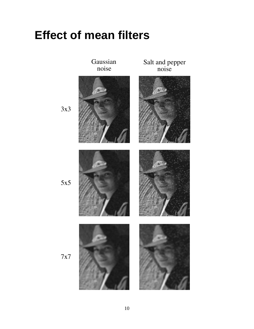#### **Effect of mean filters**



10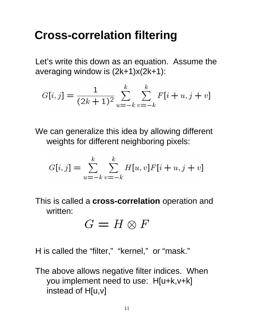#### **Cross-correlation filtering**

Let's write this down as an equation. Assume the averaging window is (2k+1)x(2k+1):

$$
G[i,j] = \frac{1}{(2k+1)^2} \sum_{u=-k}^{k} \sum_{v=-k}^{k} F[i+u, j+v]
$$

We can generalize this idea by allowing different weights for different neighboring pixels:

$$
G[i,j] = \sum_{u=-k}^{k} \sum_{v=-k}^{k} H[u,v]F[i+u,j+v]
$$

This is called a **cross-correlation** operation and written:

$$
G=H\otimes F
$$

H is called the "filter," "kernel," or "mask."

The above allows negative filter indices. When you implement need to use: H[u+k,v+k] instead of H[u,v]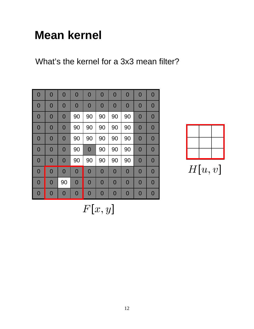# **Mean kernel**

What's the kernel for a 3x3 mean filter?

| $\overline{0}$ | $\overline{0}$ | $\overline{0}$ | $\overline{0}$ | $\mathbf 0$    | $\overline{0}$ | $\overline{0}$ | $\overline{0}$ | $\mathbf 0$    | $\overline{0}$ |
|----------------|----------------|----------------|----------------|----------------|----------------|----------------|----------------|----------------|----------------|
| $\mathbf 0$    | $\mathbf 0$    | $\bf{0}$       | $\mathbf 0$    | $\mathbf 0$    | $\bf{0}$       | $\bf{0}$       | $\mathbf 0$    | $\mathbf 0$    | $\bf{0}$       |
| $\mathbf 0$    | $\mathbf 0$    | $\mathbf 0$    | 90             | 90             | 90             | 90             | 90             | $\mathbf 0$    | 0              |
| $\overline{0}$ | $\mathbf 0$    | $\overline{0}$ | 90             | 90             | 90             | 90             | 90             | $\mathbf 0$    | 0              |
| $\mathbf 0$    | $\mathbf 0$    | $\bf{0}$       | 90             | 90             | 90             | 90             | 90             | $\mathbf 0$    | $\bf{0}$       |
| $\overline{0}$ | $\mathbf 0$    | $\overline{0}$ | 90             | $\mathbf 0$    | 90             | 90             | 90             | $\mathbf 0$    | $\overline{0}$ |
| $\overline{0}$ | $\mathbf 0$    | $\overline{0}$ | 90             | 90             | 90             | 90             | 90             | $\mathbf 0$    | $\overline{0}$ |
| $\overline{0}$ | $\mathbf 0$    | $\overline{0}$ | $\overline{0}$ | $\mathbf 0$    | $\mathbf 0$    | $\overline{0}$ | $\mathbf 0$    | $\mathbf 0$    | $\mathbf 0$    |
| $\overline{0}$ | $\overline{0}$ | 90             | $\mathbf 0$    | $\mathbf 0$    | $\overline{0}$ | $\overline{0}$ | $\mathbf 0$    | $\mathbf 0$    | 0              |
| $\overline{0}$ | $\mathbf 0$    | $\overline{0}$ | $\overline{0}$ | $\overline{0}$ | $\Omega$       | $\Omega$       | $\overline{0}$ | $\overline{0}$ | 0              |

 $H[u, v]$ 

 $F[x, y]$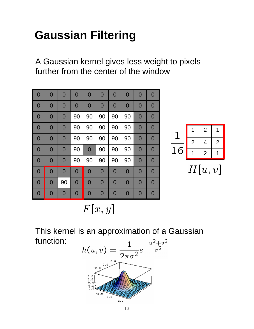# **Gaussian Filtering**

A Gaussian kernel gives less weight to pixels further from the center of the window

| $\overline{0}$ | $\overline{0}$ | $\overline{0}$ | $\overline{0}$ | $\mathbf 0$    | $\overline{0}$ | $\overline{0}$ | $\overline{0}$ | $\overline{0}$ | $\overline{0}$ |
|----------------|----------------|----------------|----------------|----------------|----------------|----------------|----------------|----------------|----------------|
| $\mathbf 0$    | $\mathbf 0$    | $\mathbf{0}$   | $\mathbf 0$    | $\mathbf 0$    | 0              | $\mathbf 0$    | $\mathbf{O}$   | 0              | $\overline{0}$ |
| $\mathbf{0}$   | $\mathbf{0}$   | $\overline{0}$ | 90             | 90             | 90             | 90             | 90             | $\mathbf 0$    | $\overline{0}$ |
| $\mathbf 0$    | $\mathbf 0$    | $\mathbf 0$    | 90             | 90             | 90             | 90             | 90             | 0              | $\overline{0}$ |
| 0              | $\mathbf 0$    | $\overline{0}$ | 90             | 90             | 90             | 90             | 90             | $\overline{0}$ | $\overline{0}$ |
| $\overline{0}$ | $\overline{0}$ | $\overline{0}$ | 90             | $\overline{0}$ | 90             | 90             | 90             | $\overline{0}$ | $\Omega$       |
| $\mathbf 0$    | $\mathbf{0}$   | $\mathbf{0}$   | 90             | 90             | 90             | 90             | 90             | $\mathbf 0$    | $\overline{0}$ |
| $\overline{0}$ | $\mathbf 0$    | $\overline{0}$ | $\mathbf 0$    | $\mathbf{0}$   | $\mathbf 0$    | $\mathbf 0$    | $\mathbf{O}$   | $\mathbf 0$    | $\overline{0}$ |
| $\overline{0}$ | $\overline{0}$ | 90             | $\overline{0}$ | $\mathbf 0$    | $\bf{0}$       | $\overline{0}$ | $\mathbf 0$    | $\overline{0}$ | $\overline{0}$ |
| 0              | $\mathbf 0$    | $\mathbf 0$    | $\mathbf 0$    | $\mathbf 0$    | 0              | $\mathbf 0$    | $\mathbf 0$    | 0              | $\overline{0}$ |

|   |                | 2 |   |
|---|----------------|---|---|
|   | $\overline{2}$ | 4 | 2 |
| б |                | 2 |   |

 $H[u, v]$ 

 $F[x, y]$ 

This kernel is an approximation of a Gaussian function:

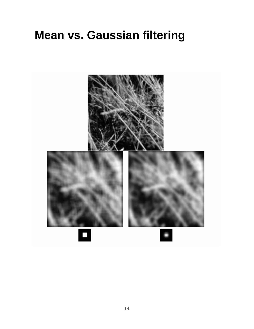#### **Mean vs. Gaussian filtering**

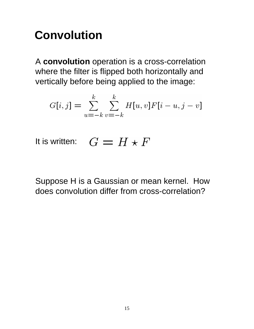# **Convolution**

A **convolution** operation is a cross-correlation where the filter is flipped both horizontally and vertically before being applied to the image:

$$
G[i,j] = \sum_{u=-k}^{k} \sum_{v=-k}^{k} H[u,v]F[i-u,j-v]
$$

It is written:  $G = H \star F$ 

Suppose H is a Gaussian or mean kernel. How does convolution differ from cross-correlation?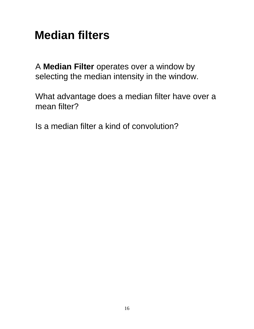# **Median filters**

A **Median Filter** operates over a window by selecting the median intensity in the window.

What advantage does a median filter have over a mean filter?

Is a median filter a kind of convolution?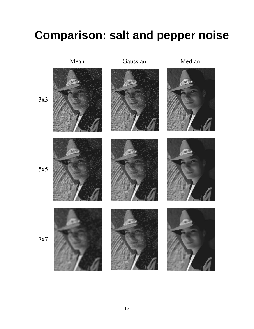## **Comparison: salt and pepper noise**



#### 17